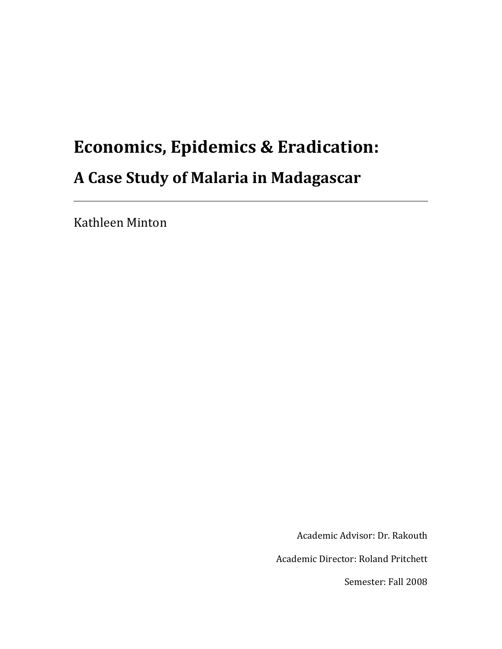# **Economics, Epidemics & Eradication:**

# **A Case Study of Malaria in Madagascar**

Kathleen Minton

Academic Advisor: Dr. Rakouth

Academic Director: Roland Pritchett

Semester: Fall 2008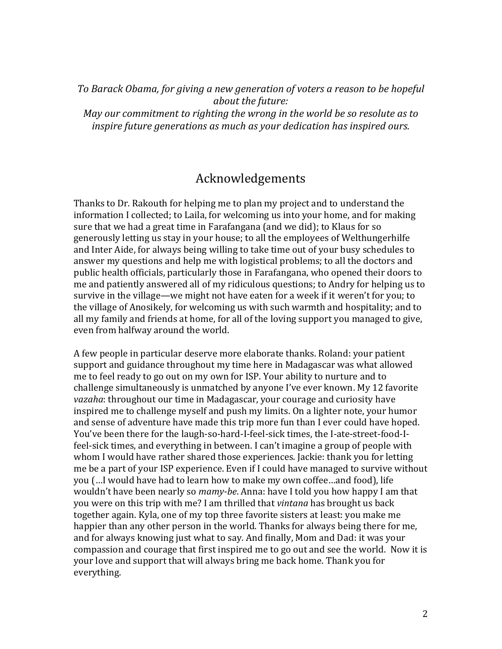# *To Barack Obama, for giving a new generation of voters a reason to be hopeful about the future:*

*May our commitment to righting the wrong in the world be so resolute as to inspire future generations as much as your dedication has inspired ours.*

# Acknowledgements

Thanks to Dr. Rakouth for helping me to plan my project and to understand the information I collected; to Laila, for welcoming us into your home, and for making sure that we had a great time in Farafangana (and we did); to Klaus for so generously letting us stay in your house; to all the employees of Welthungerhilfe and Inter Aide, for always being willing to take time out of your busy schedules to answer my questions and help me with logistical problems; to all the doctors and public health officials, particularly those in Farafangana, who opened their doors to me and patiently answered all of my ridiculous questions; to Andry for helping us to survive in the village—we might not have eaten for a week if it weren't for you; to the village of Anosikely, for welcoming us with such warmth and hospitality; and to all my family and friends at home, for all of the loving support you managed to give, even from halfway around the world.

A few people in particular deserve more elaborate thanks. Roland: your patient support and guidance throughout my time here in Madagascar was what allowed me to feel ready to go out on my own for ISP. Your ability to nurture and to challenge simultaneously is unmatched by anyone I've ever known. My 12 favorite *vazaha*: throughout our time in Madagascar, your courage and curiosity have inspired me to challenge myself and push my limits. On a lighter note, your humor and sense of adventure have made this trip more fun than I ever could have hoped. You've been there for the laugh‐so‐hard‐I‐feel‐sick times, the I‐ate‐street‐food‐I‐ feel‐sick times, and everything in between. I can't imagine a group of people with whom I would have rather shared those experiences. Jackie: thank you for letting me be a part of your ISP experience. Even if I could have managed to survive without you (…I would have had to learn how to make my own coffee…and food), life wouldn't have been nearly so *mamybe*. Anna: have I told you how happy I am that you were on this trip with me? I am thrilled that *vintana* has brought us back together again. Kyla, one of my top three favorite sisters at least: you make me happier than any other person in the world. Thanks for always being there for me, and for always knowing just what to say. And finally, Mom and Dad: it was your compassion and courage that first inspired me to go out and see the world. Now it is your love and support that will always bring me back home. Thank you for everything.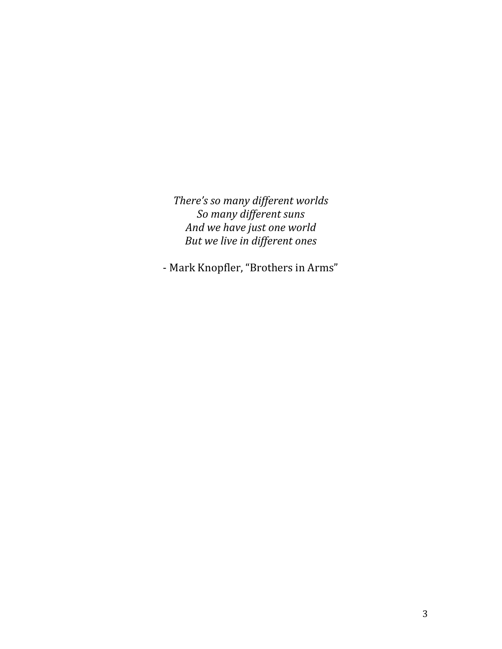*There's so many different worlds So many different suns And we have just one world But we live in different ones*

‐ Mark Knopfler, "Brothers in Arms"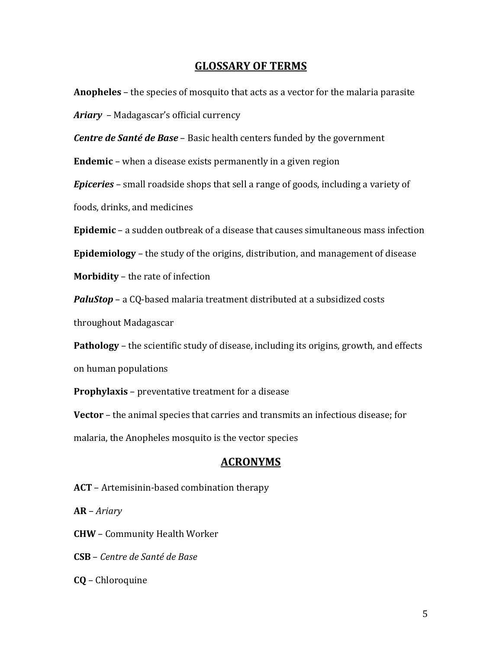# **GLOSSARY OF TERMS**

**Anopheles** – the species of mosquito that acts as a vector for the malaria parasite *Ariary*– Madagascar's official currency

*Centre de Santé de Base* – Basic health centers funded by the government

**Endemic** – when a disease exists permanently in a given region

*Epiceries* – small roadside shops that sell a range of goods, including a variety of

foods, drinks, and medicines

**Epidemic** – a sudden outbreak of a disease that causes simultaneous mass infection

**Epidemiology** – the study of the origins, distribution, and management of disease

**Morbidity** – the rate of infection

**PaluStop** – a CQ-based malaria treatment distributed at a subsidized costs throughout Madagascar

**Pathology** – the scientific study of disease, including its origins, growth, and effects on human populations

**Prophylaxis** – preventative treatment for a disease

**Vector** – the animal species that carries and transmits an infectious disease; for

malaria, the Anopheles mosquito is the vector species

# **ACRONYMS**

**ACT** – Artemisinin‐based combination therapy

**AR** – *Ariary*

**CHW** – Community Health Worker

**CSB** – *Centre de Santé de Base*

**CQ** – Chloroquine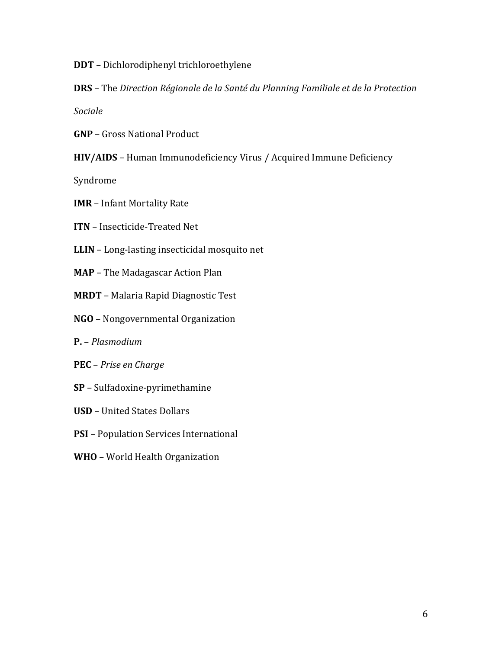**DDT** – Dichlorodiphenyl trichloroethylene

**DRS** – The *Direction Régionale de la Santé du Planning Familiale et de la Protection*

*Sociale*

- **GNP** Gross National Product
- **HIV/AIDS** Human Immunodeficiency Virus / Acquired Immune Deficiency

Syndrome

- **IMR** Infant Mortality Rate
- **ITN** Insecticide‐Treated Net
- **LLIN** Long‐lasting insecticidal mosquito net
- **MAP** The Madagascar Action Plan
- **MRDT** Malaria Rapid Diagnostic Test
- **NGO** Nongovernmental Organization
- **P.** *Plasmodium*
- **PEC** *Prise en Charge*
- **SP** Sulfadoxine‐pyrimethamine
- **USD** United States Dollars
- **PSI** Population Services International
- **WHO** World Health Organization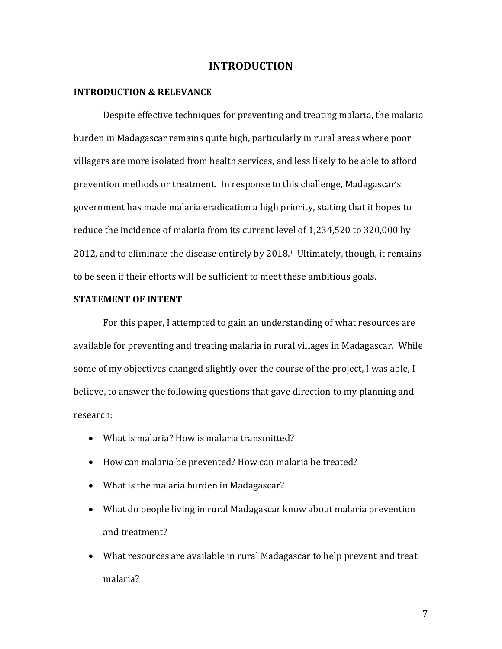# **INTRODUCTION**

## **INTRODUCTION & RELEVANCE**

Despite effective techniques for preventing and treating malaria, the malaria burden in Madagascar remains quite high, particularly in rural areas where poor villagers are more isolated from health services, and less likely to be able to afford prevention methods or treatment. In response to this challenge, Madagascar's government has made malaria eradication a high priority, stating that it hopes to reduce the incidence of malaria from its current level of 1,234,520 to 320,000 by 2012, and to el[i](#page-45-0)minate the disease entirely by  $2018$ .<sup>1</sup> Ultimately, though, it remains to be seen if their efforts will be sufficient to meet these ambitious goals.

# **STATEMENT OF INTENT**

For this paper, I attempted to gain an understanding of what resources are available for preventing and treating malaria in rural villages in Madagascar. While some of my objectives changed slightly over the course of the project, I was able, I believe, to answer the following questions that gave direction to my planning and research:

- What is malaria? How is malaria transmitted?
- How can malaria be prevented? How can malaria be treated?
- What is the malaria burden in Madagascar?
- What do people living in rural Madagascar know about malaria prevention and treatment?
- What resources are available in rural Madagascar to help prevent and treat malaria?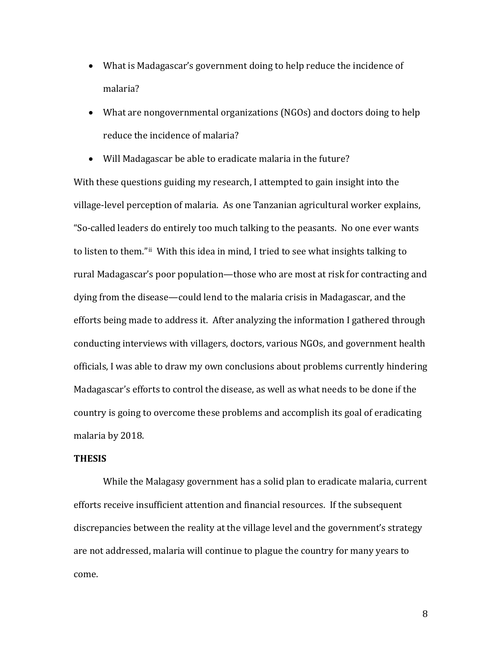- What is Madagascar's government doing to help reduce the incidence of malaria?
- What are nongovernmental organizations (NGOs) and doctors doing to help reduce the incidence of malaria?
- Will Madagascar be able to eradicate malaria in the future?

With these questions guiding my research, I attempted to gain insight into the village‐level perception of malaria. As one Tanzanian agricultural worker explains, "So‐called leaders do entirely too much talking to the peasants. No one ever wants to listen to them."[ii](#page-45-1) With this idea in mind, I tried to see what insights talking to rural Madagascar's poor population—those who are most at risk for contracting and dying from the disease—could lend to the malaria crisis in Madagascar, and the efforts being made to address it. After analyzing the information I gathered through conducting interviews with villagers, doctors, various NGOs, and government health officials, I was able to draw my own conclusions about problems currently hindering Madagascar's efforts to control the disease, as well as what needs to be done if the country is going to overcome these problems and accomplish its goal of eradicating malaria by 2018.

## **THESIS**

While the Malagasy government has a solid plan to eradicate malaria, current efforts receive insufficient attention and financial resources. If the subsequent discrepancies between the reality at the village level and the government's strategy are not addressed, malaria will continue to plague the country for many years to come.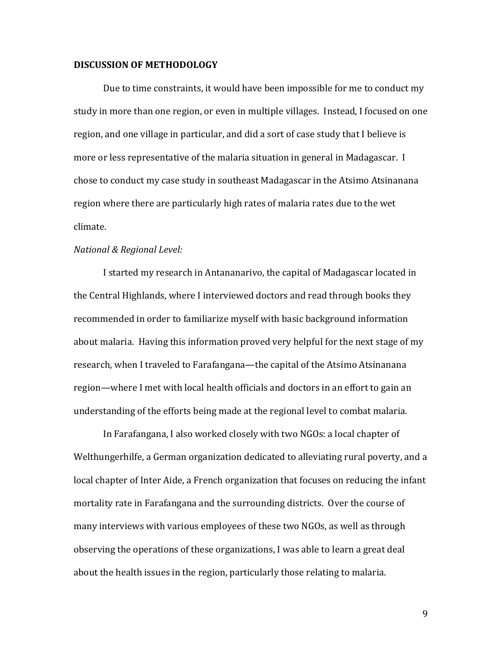## **DISCUSSION OF METHODOLOGY**

 Due to time constraints, it would have been impossible for me to conduct my study in more than one region, or even in multiple villages. Instead, I focused on one region, and one village in particular, and did a sort of case study that I believe is more or less representative of the malaria situation in general in Madagascar. I chose to conduct my case study in southeast Madagascar in the Atsimo Atsinanana region where there are particularly high rates of malaria rates due to the wet climate.

## *National & Regional Level:*

I started my research in Antananarivo, the capital of Madagascar located in the Central Highlands, where I interviewed doctors and read through books they recommended in order to familiarize myself with basic background information about malaria. Having this information proved very helpful for the next stage of my research, when I traveled to Farafangana—the capital of the Atsimo Atsinanana region—where I met with local health officials and doctors in an effort to gain an understanding of the efforts being made at the regional level to combat malaria.

In Farafangana, I also worked closely with two NGOs: a local chapter of Welthungerhilfe, a German organization dedicated to alleviating rural poverty, and a local chapter of Inter Aide, a French organization that focuses on reducing the infant mortality rate in Farafangana and the surrounding districts. Over the course of many interviews with various employees of these two NGOs, as well as through observing the operations of these organizations, I was able to learn a great deal about the health issues in the region, particularly those relating to malaria.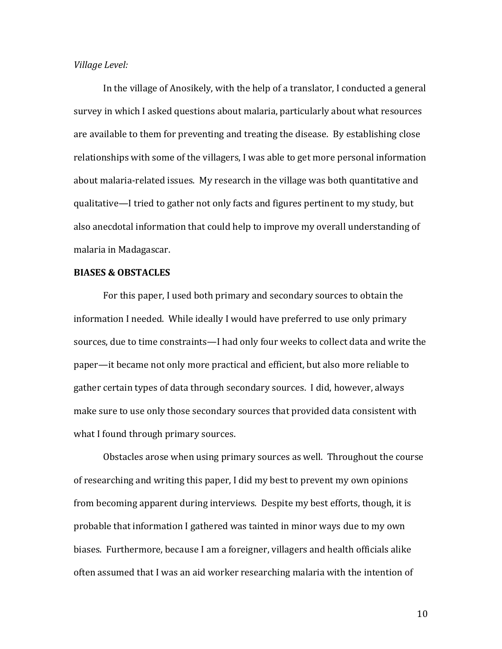## *Village Level:*

In the village of Anosikely, with the help of a translator, I conducted a general survey in which I asked questions about malaria, particularly about what resources are available to them for preventing and treating the disease. By establishing close relationships with some of the villagers, I was able to get more personal information about malaria‐related issues. My research in the village was both quantitative and qualitative—I tried to gather not only facts and figures pertinent to my study, but also anecdotal information that could help to improve my overall understanding of malaria in Madagascar.

# **BIASES & OBSTACLES**

For this paper, I used both primary and secondary sources to obtain the information I needed. While ideally I would have preferred to use only primary sources, due to time constraints—I had only four weeks to collect data and write the paper—it became not only more practical and efficient, but also more reliable to gather certain types of data through secondary sources. I did, however, always make sure to use only those secondary sources that provided data consistent with what I found through primary sources.

Obstacles arose when using primary sources as well. Throughout the course of researching and writing this paper, I did my best to prevent my own opinions from becoming apparent during interviews. Despite my best efforts, though, it is probable that information I gathered was tainted in minor ways due to my own biases. Furthermore, because I am a foreigner, villagers and health officials alike often assumed that I was an aid worker researching malaria with the intention of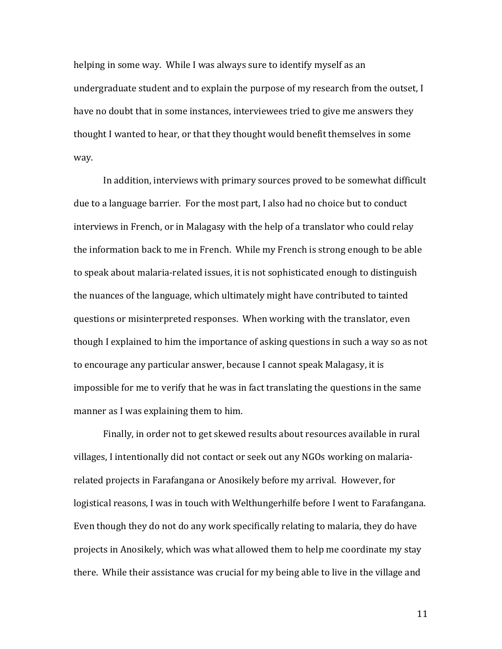helping in some way. While I was always sure to identify myself as an undergraduate student and to explain the purpose of my research from the outset, I have no doubt that in some instances, interviewees tried to give me answers they thought I wanted to hear, or that they thought would benefit themselves in some way.

 In addition, interviews with primary sources proved to be somewhat difficult due to a language barrier. For the most part, I also had no choice but to conduct interviews in French, or in Malagasy with the help of a translator who could relay the information back to me in French. While my French is strong enough to be able to speak about malaria‐related issues, it is not sophisticated enough to distinguish the nuances of the language, which ultimately might have contributed to tainted questions or misinterpreted responses. When working with the translator, even though I explained to him the importance of asking questions in such a way so as not to encourage any particular answer, because I cannot speak Malagasy, it is impossible for me to verify that he was in fact translating the questions in the same manner as I was explaining them to him.

Finally, in order not to get skewed results about resources available in rural villages, I intentionally did not contact or seek out any NGOs working on malaria‐ related projects in Farafangana or Anosikely before my arrival. However, for logistical reasons, I was in touch with Welthungerhilfe before I went to Farafangana. Even though they do not do any work specifically relating to malaria, they do have projects in Anosikely, which was what allowed them to help me coordinate my stay there. While their assistance was crucial for my being able to live in the village and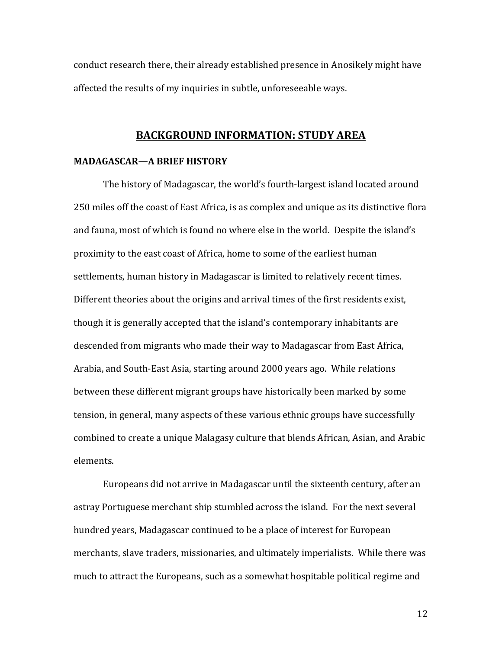conduct research there, their already established presence in Anosikely might have affected the results of my inquiries in subtle, unforeseeable ways.

# **BACKGROUND INFORMATION: STUDY AREA**

## **MADAGASCAR—A BRIEF HISTORY**

The history of Madagascar, the world's fourth‐largest island located around 250 miles off the coast of East Africa, is as complex and unique as its distinctive flora and fauna, most of which is found no where else in the world. Despite the island's proximity to the east coast of Africa, home to some of the earliest human settlements, human history in Madagascar is limited to relatively recent times. Different theories about the origins and arrival times of the first residents exist, though it is generally accepted that the island's contemporary inhabitants are descended from migrants who made their way to Madagascar from East Africa, Arabia, and South‐East Asia, starting around 2000 years ago. While relations between these different migrant groups have historically been marked by some tension, in general, many aspects of these various ethnic groups have successfully combined to create a unique Malagasy culture that blends African, Asian, and Arabic elements.

Europeans did not arrive in Madagascar until the sixteenth century, after an astray Portuguese merchant ship stumbled across the island. For the next several hundred years, Madagascar continued to be a place of interest for European merchants, slave traders, missionaries, and ultimately imperialists. While there was much to attract the Europeans, such as a somewhat hospitable political regime and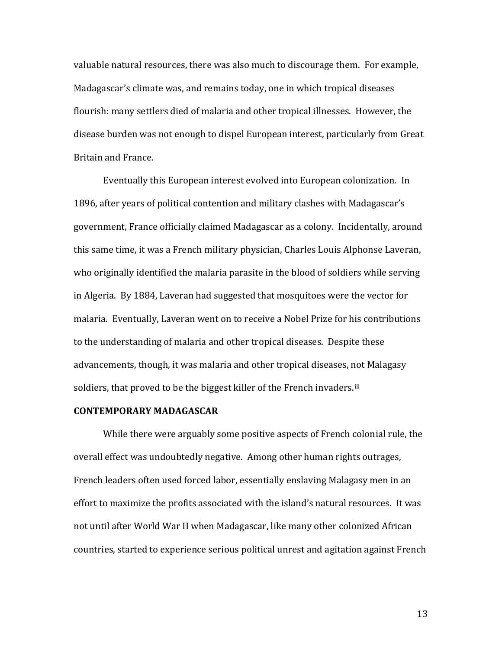valuable natural resources, there was also much to discourage them. For example, Madagascar's climate was, and remains today, one in which tropical diseases flourish: many settlers died of malaria and other tropical illnesses. However, the disease burden was not enough to dispel European interest, particularly from Great Britain and France.

Eventually this European interest evolved into European colonization. In 1896, after years of political contention and military clashes with Madagascar's government, France officially claimed Madagascar as a colony. Incidentally, around this same time, it was a French military physician, Charles Louis Alphonse Laveran, who originally identified the malaria parasite in the blood of soldiers while serving in Algeria. By 1884, Laveran had suggested that mosquitoes were the vector for malaria. Eventually, Laveran went on to receive a Nobel Prize for his contributions to the understanding of malaria and other tropical diseases. Despite these advancements, though, it was malaria and other tropical diseases, not Malagasy soldiers, that proved to be the biggest killer of the French invaders.<sup>[iii](#page-45-1)</sup>

# **CONTEMPORARY MADAGASCAR**

While there were arguably some positive aspects of French colonial rule, the overall effect was undoubtedly negative. Among other human rights outrages, French leaders often used forced labor, essentially enslaving Malagasy men in an effort to maximize the profits associated with the island's natural resources. It was not until after World War II when Madagascar, like many other colonized African countries, started to experience serious political unrest and agitation against French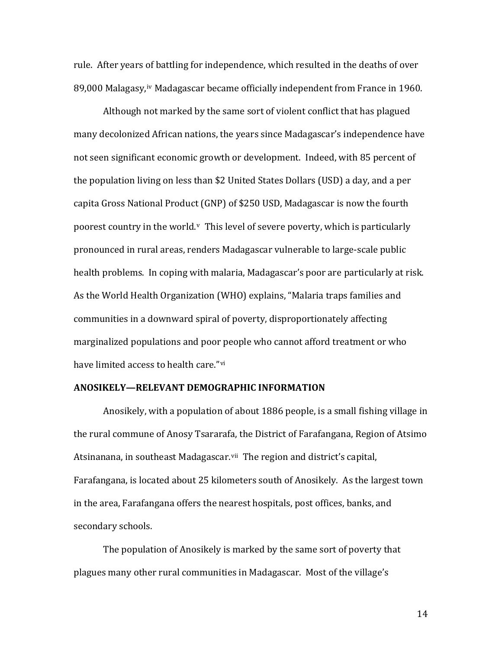rule. After years of battling for independence, which resulted in the deaths of over  $89,000$  Malagasy, <sup>[iv](#page-45-1)</sup> Madagascar became officially independent from France in 1960.

Although not marked by the same sort of violent conflict that has plagued many decolonized African nations, the years since Madagascar's independence have not seen significant economic growth or development. Indeed, with 85 percent of the population living on less than \$2 United States Dollars (USD) a day, and a per capita Gross National Product (GNP) of \$250 USD, Madagascar is now the fourth poorest country in the world. $v$  This level of severe poverty, which is particularly pronounced in rural areas, renders Madagascar vulnerable to large‐scale public health problems. In coping with malaria, Madagascar's poor are particularly at risk. As the World Health Organization (WHO) explains, "Malaria traps families and communities in a downward spiral of poverty, disproportionately affecting marginalized populations and poor people who cannot afford treatment or who have limited access to health care."[vi](#page-45-1)

# **ANOSIKELY—RELEVANT DEMOGRAPHIC INFORMATION**

 Anosikely, with a population of about 1886 people, is a small fishing village in the rural commune of Anosy Tsararafa, the District of Farafangana, Region of Atsimo Atsinanana, in southeast Madagascar.<sup>[vii](#page-45-1)</sup> The region and district's capital, Farafangana, is located about 25 kilometers south of Anosikely. As the largest town in the area, Farafangana offers the nearest hospitals, post offices, banks, and secondary schools.

 The population of Anosikely is marked by the same sort of poverty that plagues many other rural communities in Madagascar. Most of the village's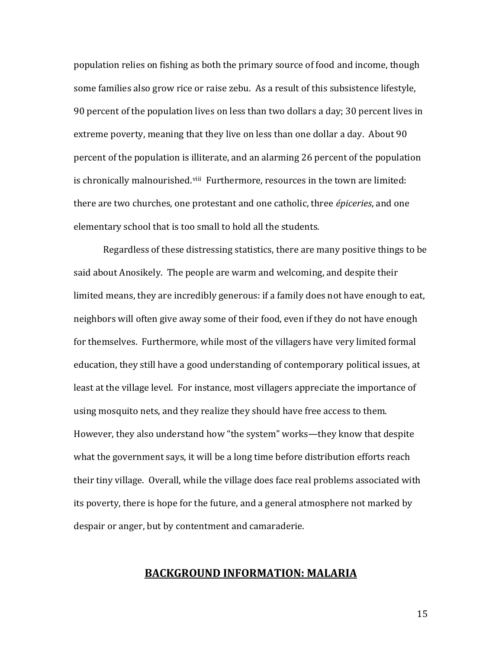population relies on fishing as both the primary source of food and income, though some families also grow rice or raise zebu. As a result of this subsistence lifestyle, 90 percent of the population lives on less than two dollars a day; 30 percent lives in extreme poverty, meaning that they live on less than one dollar a day. About 90 percent of the population is illiterate, and an alarming 26 percent of the population is chronically malnourished.<sup>[viii](#page-45-1)</sup> Furthermore, resources in the town are limited: there are two churches, one protestant and one catholic, three *épiceries*, and one elementary school that is too small to hold all the students.

Regardless of these distressing statistics, there are many positive things to be said about Anosikely. The people are warm and welcoming, and despite their limited means, they are incredibly generous: if a family does not have enough to eat, neighbors will often give away some of their food, even if they do not have enough for themselves. Furthermore, while most of the villagers have very limited formal education, they still have a good understanding of contemporary political issues, at least at the village level. For instance, most villagers appreciate the importance of using mosquito nets, and they realize they should have free access to them. However, they also understand how "the system" works—they know that despite what the government says, it will be a long time before distribution efforts reach their tiny village. Overall, while the village does face real problems associated with its poverty, there is hope for the future, and a general atmosphere not marked by despair or anger, but by contentment and camaraderie.

# **BACKGROUND INFORMATION: MALARIA**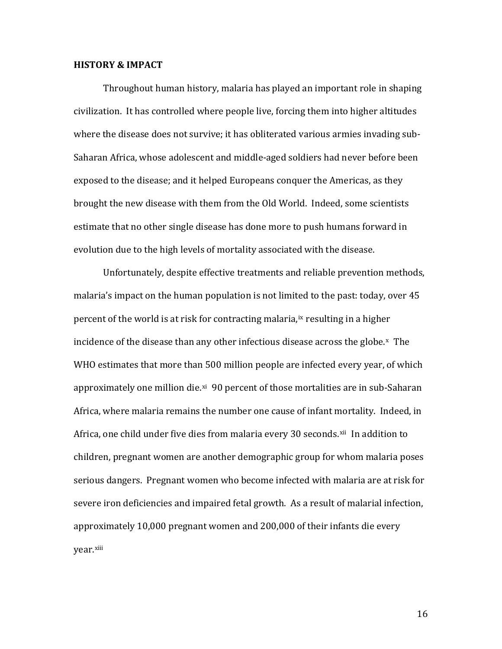## **HISTORY & IMPACT**

Throughout human history, malaria has played an important role in shaping civilization. It has controlled where people live, forcing them into higher altitudes where the disease does not survive; it has obliterated various armies invading sub-Saharan Africa, whose adolescent and middle‐aged soldiers had never before been exposed to the disease; and it helped Europeans conquer the Americas, as they brought the new disease with them from the Old World. Indeed, some scientists estimate that no other single disease has done more to push humans forward in evolution due to the high levels of mortality associated with the disease.

Unfortunately, despite effective treatments and reliable prevention methods, malaria's impact on the human population is not limited to the past: today, over 45 percent of the world is at risk for contracting malaria, [ix](#page-45-1) resulting in a higher incidence of the disease than any other infectious disease across the globe. $x$  The WHO estimates that more than 500 million people are infected every year, of which appro[xi](#page-45-1)mately one million die.<sup>xi</sup> 90 percent of those mortalities are in sub-Saharan Africa, where malaria remains the number one cause of infant mortality. Indeed, in Africa, one child under five dies from malaria every 30 seconds.<sup>[xii](#page-45-1)</sup> In addition to children, pregnant women are another demographic group for whom malaria poses serious dangers. Pregnant women who become infected with malaria are at risk for severe iron deficiencies and impaired fetal growth. As a result of malarial infection, approximately 10,000 pregnant women and 200,000 of their infants die every year.[xiii](#page-45-1)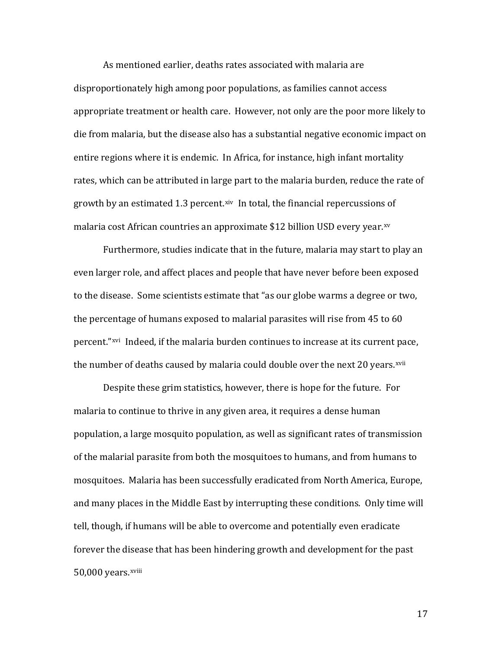As mentioned earlier, deaths rates associated with malaria are disproportionately high among poor populations, as families cannot access appropriate treatment or health care. However, not only are the poor more likely to die from malaria, but the disease also has a substantial negative economic impact on entire regions where it is endemic. In Africa, for instance, high infant mortality rates, which can be attributed in large part to the malaria burden, reduce the rate of growth by an estimated 1.3 percent.[xiv](#page-45-1) In total, the financial repercussions of malaria cost African countries an approximate \$12 billion USD every year.[xv](#page-45-1)

Furthermore, studies indicate that in the future, malaria may start to play an even larger role, and affect places and people that have never before been exposed to the disease. Some scientists estimate that "as our globe warms a degree or two, the percentage of humans exposed to malarial parasites will rise from 45 to 60 percent."[xvi](#page-45-1) Indeed, if the malaria burden continues to increase at its current pace, the number of deaths caused by malaria could double over the next 20 years.<sup>[xvi](#page-45-1)i</sup>

[Despite these grim statistics, however, there is hope for the future. For](#page-45-1)  [malaria to continue to thrive in any given area, it requires a dense human](#page-45-1)  [population, a large mosquito population, as well as significant rates of transmission](#page-45-1)  [of the malarial parasite from both the mosquitoes to humans, and from humans to](#page-45-1)  [mosquitoes. Malaria has been successfully eradicated from North America, Europe,](#page-45-1)  [and many places in the Middle East by interrupting these conditions. Only time will](#page-45-1)  [tell, though, if humans will be able to overcome and potentially even eradicate](#page-45-1)  [forever the disease that has been hindering growth and development for the past](#page-45-1)  [50,000 years.xviii](#page-45-1)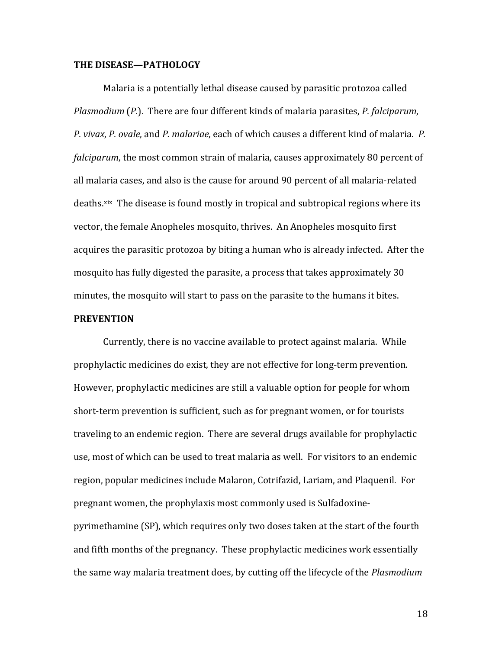## **THE DISEASE—PATHOLOGY**

Malaria is a potentially lethal disease caused by parasitic protozoa called *Plasmodium* (*P.*). There are four different kinds of malaria parasites, *P. falciparum*, *P. vivax*, *P. ovale*, and *P. malariae*, each of which causes a different kind of malaria. *P. falciparum*, the most common strain of malaria, causes approximately 80 percent of all malaria cases, and also is the cause for around 90 percent of all malaria‐related deaths.<sup>[xix](#page-45-1)</sup> The disease is found mostly in tropical and subtropical regions where its vector, the female Anopheles mosquito, thrives. An Anopheles mosquito first acquires the parasitic protozoa by biting a human who is already infected. After the mosquito has fully digested the parasite, a process that takes approximately 30 minutes, the mosquito will start to pass on the parasite to the humans it bites.

## **PREVENTION**

Currently, there is no vaccine available to protect against malaria. While prophylactic medicines do exist, they are not effective for long‐term prevention. However, prophylactic medicines are still a valuable option for people for whom short‐term prevention is sufficient, such as for pregnant women, or for tourists traveling to an endemic region. There are several drugs available for prophylactic use, most of which can be used to treat malaria as well. For visitors to an endemic region, popular medicines include Malaron, Cotrifazid, Lariam, and Plaquenil. For pregnant women, the prophylaxis most commonly used is Sulfadoxine‐ pyrimethamine (SP), which requires only two doses taken at the start of the fourth and fifth months of the pregnancy. These prophylactic medicines work essentially the same way malaria treatment does, by cutting off the lifecycle of the *Plasmodium*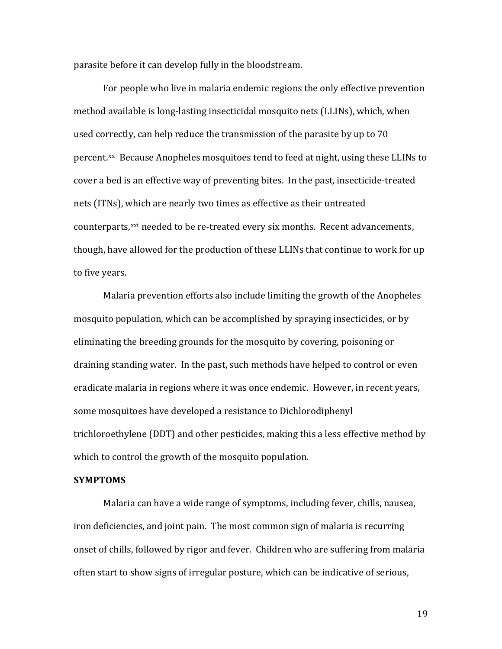parasite before it can develop fully in the bloodstream.

 For people who live in malaria endemic regions the only effective prevention method available is long‐lasting insecticidal mosquito nets (LLINs), which, when used correctly, can help reduce the transmission of the parasite by up to 70 percent.<sup>[xx](#page-45-1)</sup> Because Anopheles mosquitoes tend to feed at night, using these LLINs to cover a bed is an effective way of preventing bites. In the past, insecticide‐treated nets (ITNs), which are nearly two times as effective as their untreated counterparts,[xxi](#page-45-1) needed to be re‐treated every six months. Recent advancements, though, have allowed for the production of these LLINs that continue to work for up to five years.

Malaria prevention efforts also include limiting the growth of the Anopheles mosquito population, which can be accomplished by spraying insecticides, or by eliminating the breeding grounds for the mosquito by covering, poisoning or draining standing water. In the past, such methods have helped to control or even eradicate malaria in regions where it was once endemic. However, in recent years, some mosquitoes have developed a resistance to Dichlorodiphenyl trichloroethylene (DDT) and other pesticides, making this a less effective method by which to control the growth of the mosquito population.

## **SYMPTOMS**

Malaria can have a wide range of symptoms, including fever, chills, nausea, iron deficiencies, and joint pain. The most common sign of malaria is recurring onset of chills, followed by rigor and fever. Children who are suffering from malaria often start to show signs of irregular posture, which can be indicative of serious,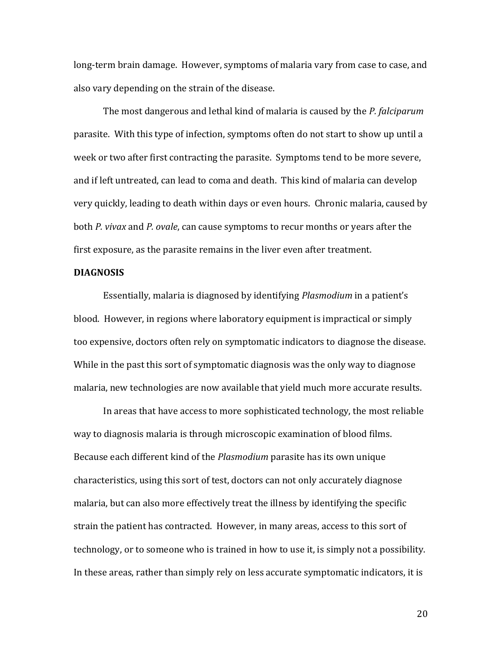long‐term brain damage. However, symptoms of malaria vary from case to case, and also vary depending on the strain of the disease.

The most dangerous and lethal kind of malaria is caused by the *P. falciparum* parasite. With this type of infection, symptoms often do not start to show up until a week or two after first contracting the parasite. Symptoms tend to be more severe, and if left untreated, can lead to coma and death. This kind of malaria can develop very quickly, leading to death within days or even hours. Chronic malaria, caused by both *P. vivax* and *P. ovale*, can cause symptoms to recur months or years after the first exposure, as the parasite remains in the liver even after treatment.

# **DIAGNOSIS**

Essentially, malaria is diagnosed by identifying *Plasmodium* in a patient's blood. However, in regions where laboratory equipment is impractical or simply too expensive, doctors often rely on symptomatic indicators to diagnose the disease. While in the past this sort of symptomatic diagnosis was the only way to diagnose malaria, new technologies are now available that yield much more accurate results.

In areas that have access to more sophisticated technology, the most reliable way to diagnosis malaria is through microscopic examination of blood films. Because each different kind of the *Plasmodium* parasite has its own unique characteristics, using this sort of test, doctors can not only accurately diagnose malaria, but can also more effectively treat the illness by identifying the specific strain the patient has contracted. However, in many areas, access to this sort of technology, or to someone who is trained in how to use it, is simply not a possibility. In these areas, rather than simply rely on less accurate symptomatic indicators, it is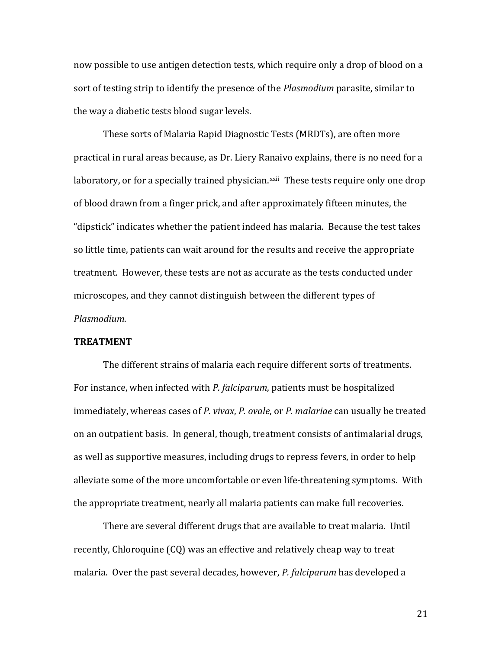now possible to use antigen detection tests, which require only a drop of blood on a sort of testing strip to identify the presence of the *Plasmodium* parasite, similar to the way a diabetic tests blood sugar levels.

These sorts of Malaria Rapid Diagnostic Tests (MRDTs), are often more practical in rural areas because, as Dr. Liery Ranaivo explains, there is no need for a laboratory, or for a specially trained physician.<sup>[xxii](#page-45-1)</sup> These tests require only one drop of blood drawn from a finger prick, and after approximately fifteen minutes, the "dipstick" indicates whether the patient indeed has malaria. Because the test takes so little time, patients can wait around for the results and receive the appropriate treatment. However, these tests are not as accurate as the tests conducted under microscopes, and they cannot distinguish between the different types of *Plasmodium*.

#### **TREATMENT**

The different strains of malaria each require different sorts of treatments. For instance, when infected with *P. falciparum*, patients must be hospitalized immediately, whereas cases of *P. vivax*, *P. ovale*, or *P. malariae* can usually be treated on an outpatient basis. In general, though, treatment consists of antimalarial drugs, as well as supportive measures, including drugs to repress fevers, in order to help alleviate some of the more uncomfortable or even life-threatening symptoms. With the appropriate treatment, nearly all malaria patients can make full recoveries.

There are several different drugs that are available to treat malaria. Until recently, Chloroquine (CQ) was an effective and relatively cheap way to treat malaria. Over the past several decades, however, *P. falciparum* has developed a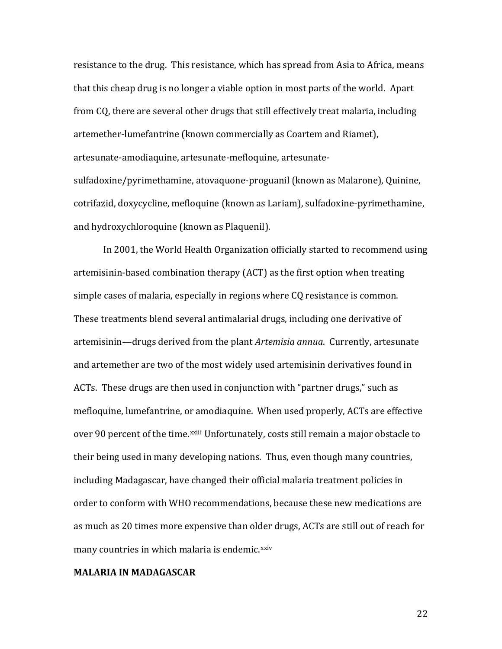resistance to the drug. This resistance, which has spread from Asia to Africa, means that this cheap drug is no longer a viable option in most parts of the world. Apart from CQ, there are several other drugs that still effectively treat malaria, including artemether‐lumefantrine (known commercially as Coartem and Riamet), artesunate‐amodiaquine, artesunate‐mefloquine, artesunate‐ sulfadoxine/pyrimethamine, atovaquone‐proguanil (known as Malarone), Quinine, cotrifazid, doxycycline, mefloquine (known as Lariam), sulfadoxine‐pyrimethamine, and hydroxychloroquine (known as Plaquenil).

 In 2001, the World Health Organization officially started to recommend using artemisinin‐based combination therapy (ACT) as the first option when treating simple cases of malaria, especially in regions where CQ resistance is common. These treatments blend several antimalarial drugs, including one derivative of artemisinin—drugs derived from the plant *Artemisia annua*. Currently, artesunate and artemether are two of the most widely used artemisinin derivatives found in ACTs. These drugs are then used in conjunction with "partner drugs," such as mefloquine, lumefantrine, or amodiaquine. When used properly, ACTs are effective over 90 percent of the time.[xxiii](#page-45-1) Unfortunately, costs still remain a major obstacle to their being used in many developing nations. Thus, even though many countries, including Madagascar, have changed their official malaria treatment policies in order to conform with WHO recommendations, because these new medications are as much as 20 times more expensive than older drugs, ACTs are still out of reach for many countries in which malaria is endemic.<sup>[xxiv](#page-45-1)</sup>

# **MALARIA IN MADAGASCAR**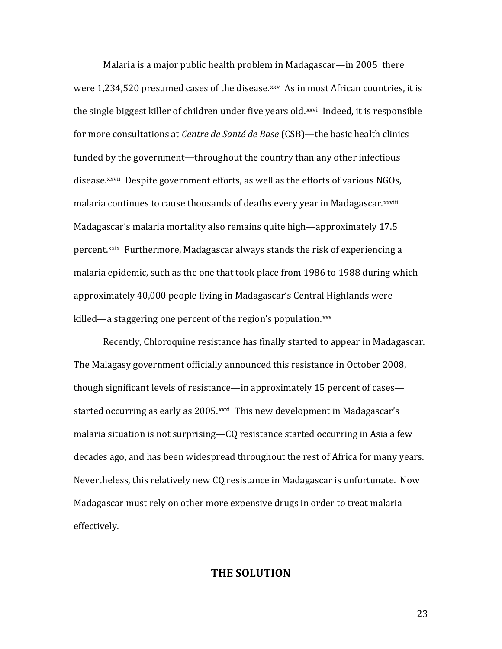Malaria is a major public health problem in Madagascar—in 2005 there were 1,234,520 presumed cases of the disease.[xxv](#page-45-1) As in most African countries, it is the single biggest killer of children under five years old.<sup>[xxvi](#page-45-1)</sup> Indeed, it is responsible for more consultations at *Centre de Santé de Base* (CSB)—the basic health clinics funded by the government—throughout the country than any other infectious disease.[xxvii](#page-45-1) Despite government efforts, as well as the efforts of various NGOs, malaria continues to cause thousands of deaths every year in Madagascar.[xxviii](#page-45-1) Madagascar's malaria mortality also remains quite high—approximately 17.5 percent.[xxix](#page-45-1) Furthermore, Madagascar always stands the risk of experiencing a malaria epidemic, such as the one that took place from 1986 to 1988 during which approximately 40,000 people living in Madagascar's Central Highlands were killed—a staggering one percent of the region's population.<sup>[xxx](#page-45-1)</sup>

Recently, Chloroquine resistance has finally started to appear in Madagascar. The Malagasy government officially announced this resistance in October 2008, though significant levels of resistance—in approximately 15 percent of cases started occurring as early as 2005.<sup>[xxxi](#page-45-1)</sup> This new development in Madagascar's malaria situation is not surprising—CQ resistance started occurring in Asia a few decades ago, and has been widespread throughout the rest of Africa for many years. Nevertheless, this relatively new CQ resistance in Madagascar is unfortunate. Now Madagascar must rely on other more expensive drugs in order to treat malaria effectively.

# **THE SOLUTION**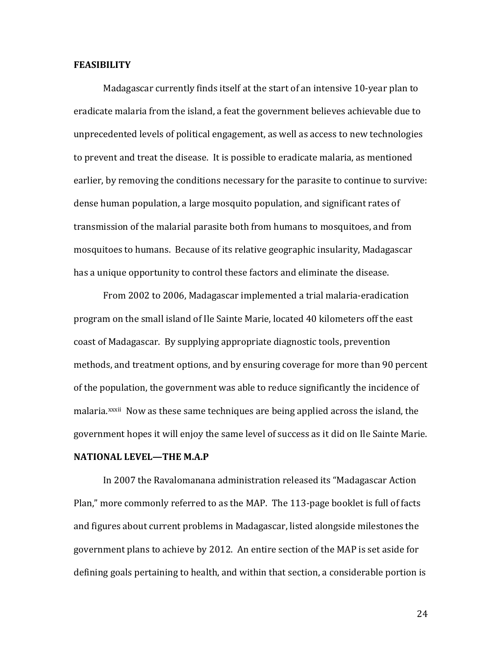# **FEASIBILITY**

Madagascar currently finds itself at the start of an intensive 10‐year plan to eradicate malaria from the island, a feat the government believes achievable due to unprecedented levels of political engagement, as well as access to new technologies to prevent and treat the disease. It is possible to eradicate malaria, as mentioned earlier, by removing the conditions necessary for the parasite to continue to survive: dense human population, a large mosquito population, and significant rates of transmission of the malarial parasite both from humans to mosquitoes, and from mosquitoes to humans. Because of its relative geographic insularity, Madagascar has a unique opportunity to control these factors and eliminate the disease.

From 2002 to 2006, Madagascar implemented a trial malaria‐eradication program on the small island of Ile Sainte Marie, located 40 kilometers off the east coast of Madagascar. By supplying appropriate diagnostic tools, prevention methods, and treatment options, and by ensuring coverage for more than 90 percent of the population, the government was able to reduce significantly the incidence of malaria.[xxxii](#page-45-1) Now as these same techniques are being applied across the island, the government hopes it will enjoy the same level of success as it did on Ile Sainte Marie.

# **NATIONAL LEVEL—THE M.A.P**

In 2007 the Ravalomanana administration released its "Madagascar Action Plan," more commonly referred to as the MAP. The 113‐page booklet is full of facts and figures about current problems in Madagascar, listed alongside milestones the government plans to achieve by 2012. An entire section of the MAP is set aside for defining goals pertaining to health, and within that section, a considerable portion is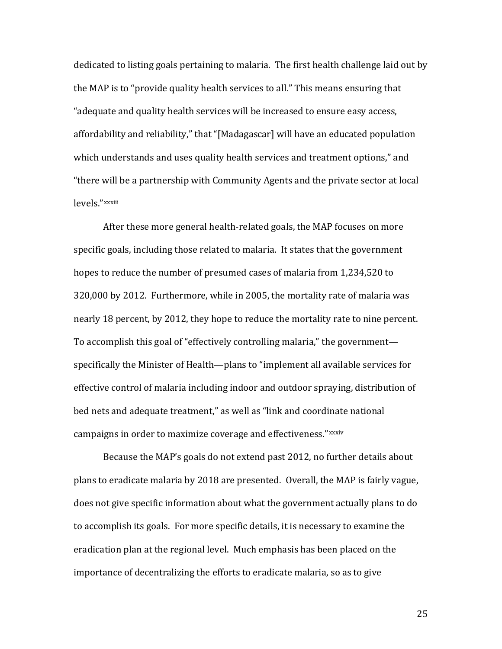dedicated to listing goals pertaining to malaria. The first health challenge laid out by the MAP is to "provide quality health services to all." This means ensuring that "adequate and quality health services will be increased to ensure easy access, affordability and reliability," that "[Madagascar] will have an educated population which understands and uses quality health services and treatment options," and "there will be a partnership with Community Agents and the private sector at local levels." [xxxiii](#page-45-1)

After these more general health‐related goals, the MAP focuses on more specific goals, including those related to malaria. It states that the government hopes to reduce the number of presumed cases of malaria from 1,234,520 to 320,000 by 2012. Furthermore, while in 2005, the mortality rate of malaria was nearly 18 percent, by 2012, they hope to reduce the mortality rate to nine percent. To accomplish this goal of "effectively controlling malaria," the government specifically the Minister of Health—plans to "implement all available services for effective control of malaria including indoor and outdoor spraying, distribution of bed nets and adequate treatment," as well as "link and coordinate national campaigns in order to maximize coverage and effectiveness." xxxiv

Because the MAP's goals do not extend past 2012, no further details about plans to eradicate malaria by 2018 are presented. Overall, the MAP is fairly vague, does not give specific information about what the government actually plans to do to accomplish its goals. For more specific details, it is necessary to examine the eradication plan at the regional level. Much emphasis has been placed on the importance of decentralizing the efforts to eradicate malaria, so as to give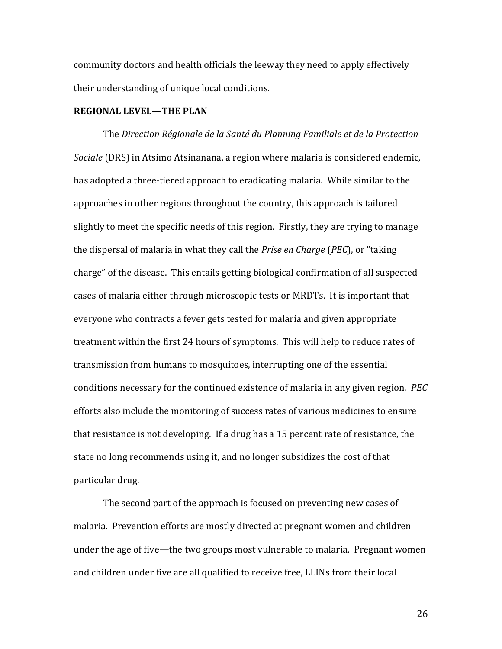community doctors and health officials the leeway they need to apply effectively their understanding of unique local conditions.

## **REGIONAL LEVEL—THE PLAN**

The *Direction Régionale de la Santé du Planning Familiale et de la Protection Sociale* (DRS) in Atsimo Atsinanana, a region where malaria is considered endemic, has adopted a three‐tiered approach to eradicating malaria. While similar to the approaches in other regions throughout the country, this approach is tailored slightly to meet the specific needs of this region. Firstly, they are trying to manage the dispersal of malaria in what they call the *Prise en Charge* (*PEC*), or "taking charge" of the disease. This entails getting biological confirmation of all suspected cases of malaria either through microscopic tests or MRDTs. It is important that everyone who contracts a fever gets tested for malaria and given appropriate treatment within the first 24 hours of symptoms. This will help to reduce rates of transmission from humans to mosquitoes, interrupting one of the essential conditions necessary for the continued existence of malaria in any given region. *PEC* efforts also include the monitoring of success rates of various medicines to ensure that resistance is not developing. If a drug has a 15 percent rate of resistance, the state no long recommends using it, and no longer subsidizes the cost of that particular drug.

 The second part of the approach is focused on preventing new cases of malaria. Prevention efforts are mostly directed at pregnant women and children under the age of five—the two groups most vulnerable to malaria. Pregnant women and children under five are all qualified to receive free, LLINs from their local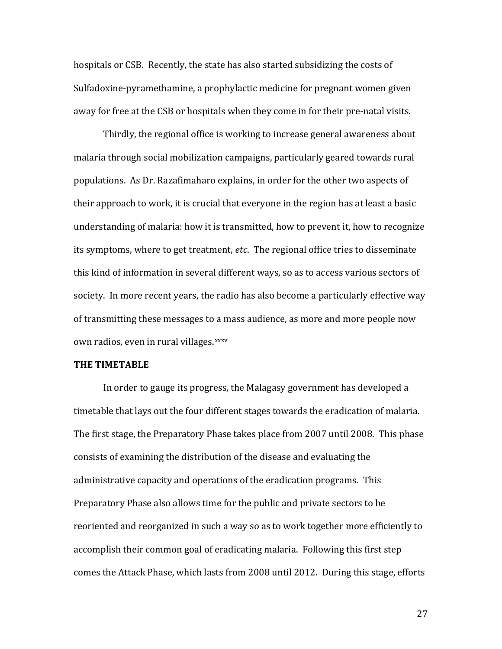hospitals or CSB. Recently, the state has also started subsidizing the costs of Sulfadoxine‐pyramethamine, a prophylactic medicine for pregnant women given away for free at the CSB or hospitals when they come in for their pre‐natal visits.

 Thirdly, the regional office is working to increase general awareness about malaria through social mobilization campaigns, particularly geared towards rural populations. As Dr. Razafimaharo explains, in order for the other two aspects of their approach to work, it is crucial that everyone in the region has at least a basic understanding of malaria: how it is transmitted, how to prevent it, how to recognize its symptoms, where to get treatment, *etc*. The regional office tries to disseminate this kind of information in several different ways, so as to access various sectors of society. In more recent years, the radio has also become a particularly effective way of transmitting these messages to a mass audience, as more and more people now own radios, even in rural villages.[xxxv](#page-45-1)

# **THE TIMETABLE**

In order to gauge its progress, the Malagasy government has developed a timetable that lays out the four different stages towards the eradication of malaria. The first stage, the Preparatory Phase takes place from 2007 until 2008. This phase consists of examining the distribution of the disease and evaluating the administrative capacity and operations of the eradication programs. This Preparatory Phase also allows time for the public and private sectors to be reoriented and reorganized in such a way so as to work together more efficiently to accomplish their common goal of eradicating malaria. Following this first step comes the Attack Phase, which lasts from 2008 until 2012. During this stage, efforts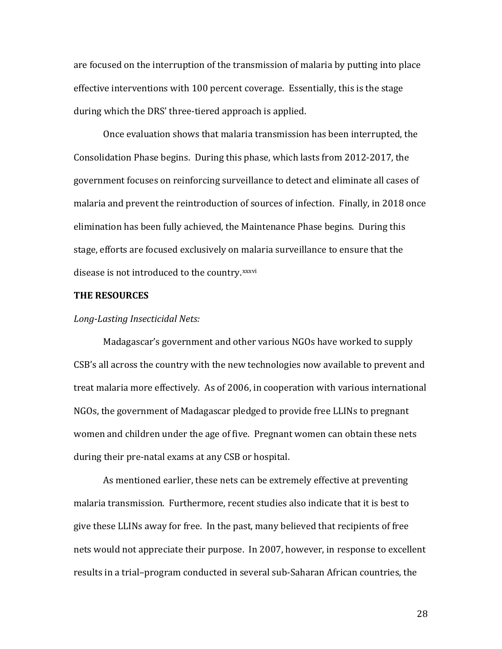are focused on the interruption of the transmission of malaria by putting into place effective interventions with 100 percent coverage. Essentially, this is the stage during which the DRS' three‐tiered approach is applied.

Once evaluation shows that malaria transmission has been interrupted, the Consolidation Phase begins. During this phase, which lasts from 2012‐2017, the government focuses on reinforcing surveillance to detect and eliminate all cases of malaria and prevent the reintroduction of sources of infection. Finally, in 2018 once elimination has been fully achieved, the Maintenance Phase begins. During this stage, efforts are focused exclusively on malaria surveillance to ensure that the disease is not introduced to the country. [xxxvi](#page-45-1)

## **THE RESOURCES**

#### *LongLasting Insecticidal Nets:*

Madagascar's government and other various NGOs have worked to supply CSB's all across the country with the new technologies now available to prevent and treat malaria more effectively. As of 2006, in cooperation with various international NGOs, the government of Madagascar pledged to provide free LLINs to pregnant women and children under the age of five. Pregnant women can obtain these nets during their pre‐natal exams at any CSB or hospital.

As mentioned earlier, these nets can be extremely effective at preventing malaria transmission. Furthermore, recent studies also indicate that it is best to give these LLINs away for free. In the past, many believed that recipients of free nets would not appreciate their purpose. In 2007, however, in response to excellent results in a trial–program conducted in several sub‐Saharan African countries, the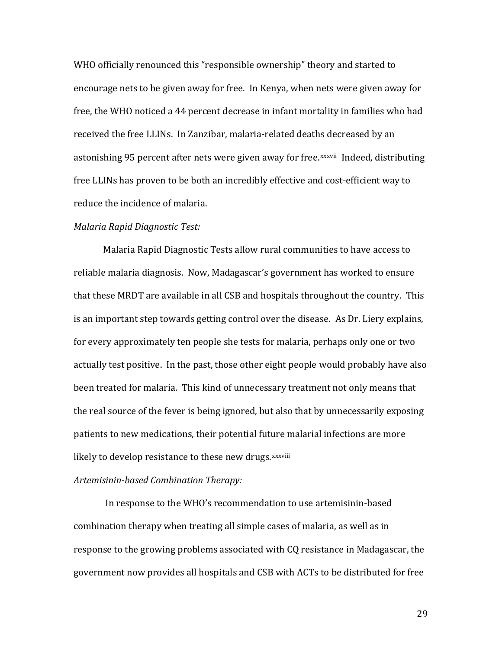WHO officially renounced this "responsible ownership" theory and started to encourage nets to be given away for free. In Kenya, when nets were given away for free, the WHO noticed a 44 percent decrease in infant mortality in families who had received the free LLINs. In Zanzibar, malaria‐related deaths decreased by an astonishing 95 percent after nets were given away for free.<sup>[xxxvii](#page-45-1)</sup> Indeed, distributing free LLINs has proven to be both an incredibly effective and cost-efficient way to reduce the incidence of malaria.

# *Malaria Rapid Diagnostic Test:*

Malaria Rapid Diagnostic Tests allow rural communities to have access to reliable malaria diagnosis. Now, Madagascar's government has worked to ensure that these MRDT are available in all CSB and hospitals throughout the country. This is an important step towards getting control over the disease. As Dr. Liery explains, for every approximately ten people she tests for malaria, perhaps only one or two actually test positive. In the past, those other eight people would probably have also been treated for malaria. This kind of unnecessary treatment not only means that the real source of the fever is being ignored, but also that by unnecessarily exposing patients to new medications, their potential future malarial infections are more likely to develop resistance to these new drugs.<sup>[xxxviii](#page-45-1)</sup>

## *Artemisininbased Combination Therapy:*

In response to the WHO's recommendation to use artemisinin‐based combination therapy when treating all simple cases of malaria, as well as in response to the growing problems associated with CQ resistance in Madagascar, the government now provides all hospitals and CSB with ACTs to be distributed for free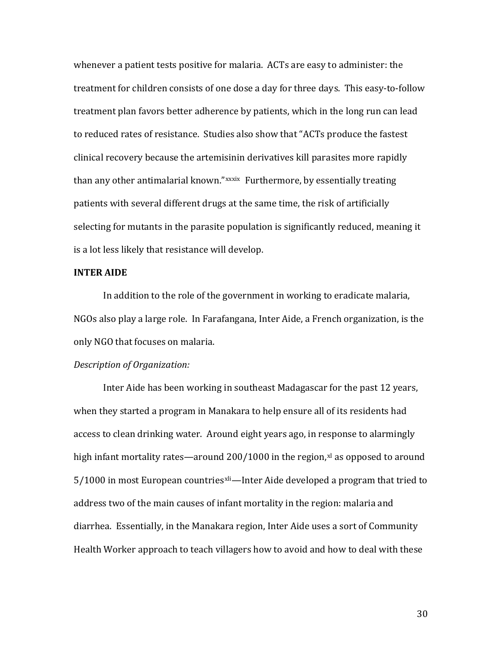whenever a patient tests positive for malaria. ACTs are easy to administer: the treatment for children consists of one dose a day for three days. This easy‐to‐follow treatment plan favors better adherence by patients, which in the long run can lead to reduced rates of resistance. Studies also show that "ACTs produce the fastest clinical recovery because the artemisinin derivatives kill parasites more rapidly than any other antimalarial known."[xxxix](#page-45-1) Furthermore, by essentially treating patients with several different drugs at the same time, the risk of artificially selecting for mutants in the parasite population is significantly reduced, meaning it is a lot less likely that resistance will develop.

## **INTER AIDE**

In addition to the role of the government in working to eradicate malaria, NGOs also play a large role. In Farafangana, Inter Aide, a French organization, is the only NGO that focuses on malaria.

## *Description of Organization:*

Inter Aide has been working in southeast Madagascar for the past 12 years, when they started a program in Manakara to help ensure all of its residents had access to clean drinking water. Around eight years ago, in response to alarmingly high infant mortality rates—around  $200/1000$  in the region, $x<sup>1</sup>$  as opposed to around 5/1000 in most European countries<sup>[xli](#page-45-1)</sup>—Inter Aide developed a program that tried to address two of the main causes of infant mortality in the region: malaria and diarrhea. Essentially, in the Manakara region, Inter Aide uses a sort of Community Health Worker approach to teach villagers how to avoid and how to deal with these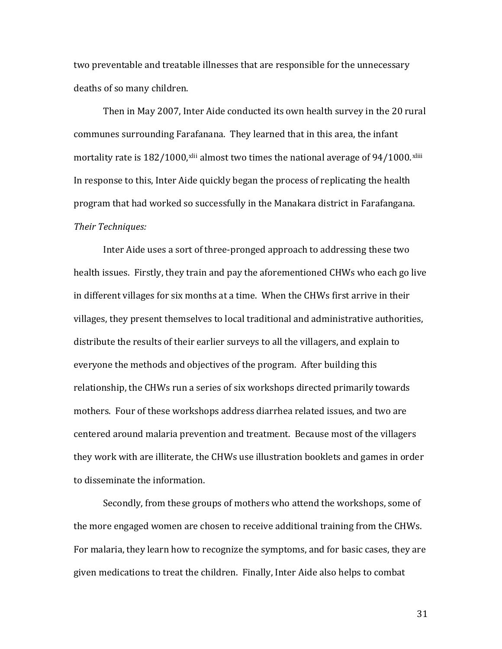two preventable and treatable illnesses that are responsible for the unnecessary deaths of so many children.

Then in May 2007, Inter Aide conducted its own health survey in the 20 rural communes surrounding Farafanana. They learned that in this area, the infant mortality rate is  $182/1000$ , [xlii](#page-45-1) almost two times the national average of  $94/1000$ . [xliii](#page-45-1) In response to this, Inter Aide quickly began the process of replicating the health program that had worked so successfully in the Manakara district in Farafangana. *Their Techniques:* 

 Inter Aide uses a sort of three‐pronged approach to addressing these two health issues. Firstly, they train and pay the aforementioned CHWs who each go live in different villages for six months at a time. When the CHWs first arrive in their villages, they present themselves to local traditional and administrative authorities, distribute the results of their earlier surveys to all the villagers, and explain to everyone the methods and objectives of the program. After building this relationship, the CHWs run a series of six workshops directed primarily towards mothers. Four of these workshops address diarrhea related issues, and two are centered around malaria prevention and treatment. Because most of the villagers they work with are illiterate, the CHWs use illustration booklets and games in order to disseminate the information.

 Secondly, from these groups of mothers who attend the workshops, some of the more engaged women are chosen to receive additional training from the CHWs. For malaria, they learn how to recognize the symptoms, and for basic cases, they are given medications to treat the children. Finally, Inter Aide also helps to combat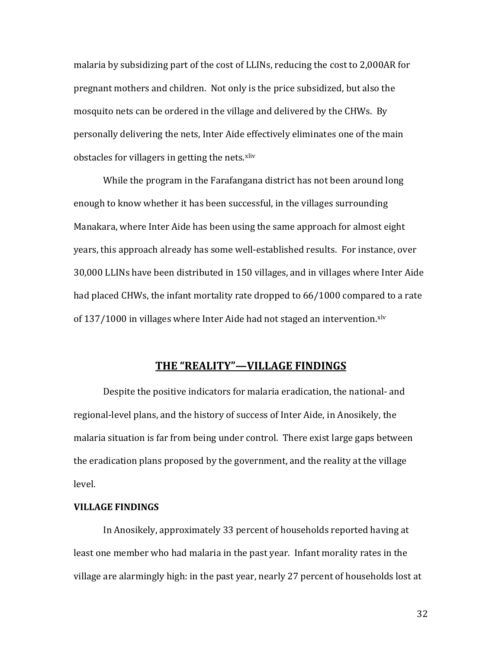malaria by subsidizing part of the cost of LLINs, reducing the cost to 2,000AR for pregnant mothers and children. Not only is the price subsidized, but also the mosquito nets can be ordered in the village and delivered by the CHWs. By personally delivering the nets, Inter Aide effectively eliminates one of the main obstacles for villagers in getting the nets.<sup>[xliv](#page-45-1)</sup>

While the program in the Farafangana district has not been around long enough to know whether it has been successful, in the villages surrounding Manakara, where Inter Aide has been using the same approach for almost eight years, this approach already has some well‐established results. For instance, over 30,000 LLINs have been distributed in 150 villages, and in villages where Inter Aide had placed CHWs, the infant mortality rate dropped to 66/1000 compared to a rate of  $137/1000$  in villages where Inter Aide had not staged an intervention. $x^{1/v}$ 

# **THE "REALITY"—VILLAGE FINDINGS**

Despite the positive indicators for malaria eradication, the national‐ and regional‐level plans, and the history of success of Inter Aide, in Anosikely, the malaria situation is far from being under control. There exist large gaps between the eradication plans proposed by the government, and the reality at the village level.

## **VILLAGE FINDINGS**

In Anosikely, approximately 33 percent of households reported having at least one member who had malaria in the past year. Infant morality rates in the village are alarmingly high: in the past year, nearly 27 percent of households lost at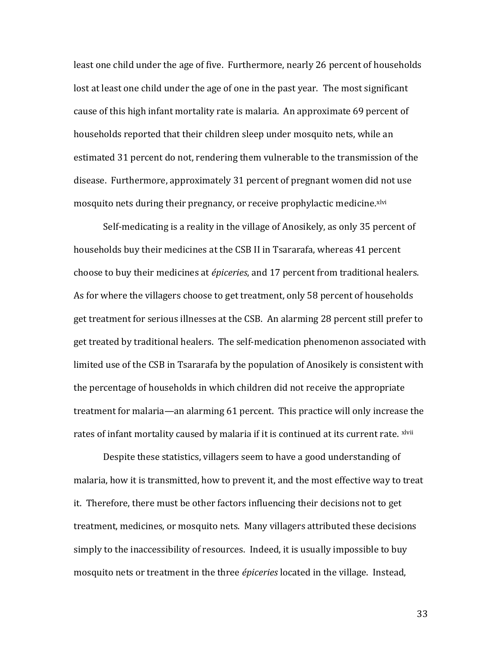least one child under the age of five. Furthermore, nearly 26 percent of households lost at least one child under the age of one in the past year. The most significant cause of this high infant mortality rate is malaria. An approximate 69 percent of households reported that their children sleep under mosquito nets, while an estimated 31 percent do not, rendering them vulnerable to the transmission of the disease. Furthermore, approximately 31 percent of pregnant women did not use mosquito nets during their pregnancy, or receive prophylactic medicine.<sup>[xlvi](#page-45-1)</sup>

Self-medicating is a reality in the village of Anosikely, as only 35 percent of households buy their medicines at the CSB II in Tsararafa, whereas 41 percent choose to buy their medicines at *épiceries*, and 17 percent from traditional healers. As for where the villagers choose to get treatment, only 58 percent of households get treatment for serious illnesses at the CSB. An alarming 28 percent still prefer to get treated by traditional healers. The self‐medication phenomenon associated with limited use of the CSB in Tsararafa by the population of Anosikely is consistent with the percentage of households in which children did not receive the appropriate treatment for malaria—an alarming 61 percent. This practice will only increase the rates of infant mortality caused by malaria if it is continued at its current rate. xlvii

Despite these statistics, villagers seem to have a good understanding of malaria, how it is transmitted, how to prevent it, and the most effective way to treat it. Therefore, there must be other factors influencing their decisions not to get treatment, medicines, or mosquito nets. Many villagers attributed these decisions simply to the inaccessibility of resources. Indeed, it is usually impossible to buy mosquito nets or treatment in the three *épiceries* located in the village. Instead,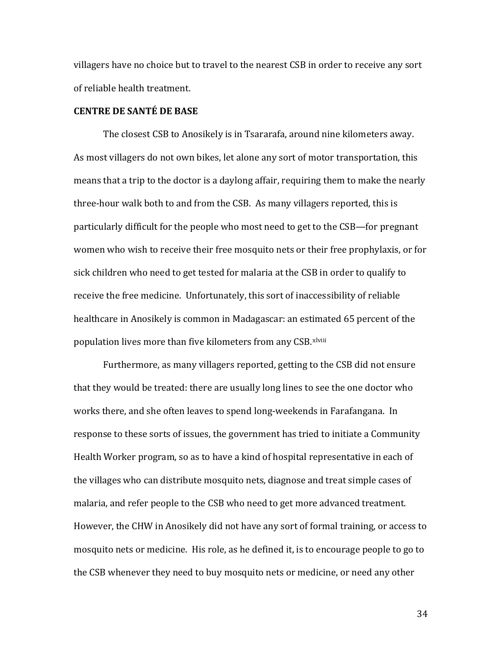villagers have no choice but to travel to the nearest CSB in order to receive any sort of reliable health treatment.

# **CENTRE DE SANTÉ DE BASE**

The closest CSB to Anosikely is in Tsararafa, around nine kilometers away. As most villagers do not own bikes, let alone any sort of motor transportation, this means that a trip to the doctor is a daylong affair, requiring them to make the nearly three‐hour walk both to and from the CSB. As many villagers reported, this is particularly difficult for the people who most need to get to the CSB—for pregnant women who wish to receive their free mosquito nets or their free prophylaxis, or for sick children who need to get tested for malaria at the CSB in order to qualify to receive the free medicine. Unfortunately, this sort of inaccessibility of reliable healthcare in Anosikely is common in Madagascar: an estimated 65 percent of the population lives more than five kilometers from any CSB. [xlviii](#page-45-1)

 Furthermore, as many villagers reported, getting to the CSB did not ensure that they would be treated: there are usually long lines to see the one doctor who works there, and she often leaves to spend long‐weekends in Farafangana. In response to these sorts of issues, the government has tried to initiate a Community Health Worker program, so as to have a kind of hospital representative in each of the villages who can distribute mosquito nets, diagnose and treat simple cases of malaria, and refer people to the CSB who need to get more advanced treatment. However, the CHW in Anosikely did not have any sort of formal training, or access to mosquito nets or medicine. His role, as he defined it, is to encourage people to go to the CSB whenever they need to buy mosquito nets or medicine, or need any other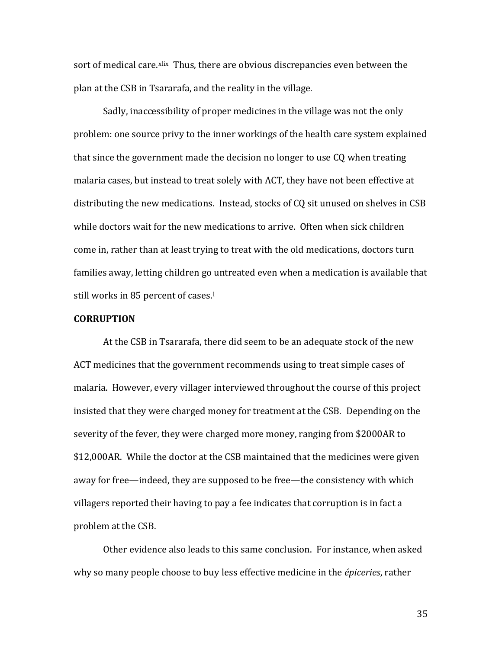sort of medical care.<sup>[xlix](#page-45-1)</sup> Thus, there are obvious discrepancies even between the plan at the CSB in Tsararafa, and the reality in the village.

 Sadly, inaccessibility of proper medicines in the village was not the only problem: one source privy to the inner workings of the health care system explained that since the government made the decision no longer to use CQ when treating malaria cases, but instead to treat solely with ACT, they have not been effective at distributing the new medications. Instead, stocks of CQ sit unused on shelves in CSB while doctors wait for the new medications to arrive. Often when sick children come in, rather than at least trying to treat with the old medications, doctors turn families away, letting children go untreated even when a medication is available that sti[l](#page-45-1)l works in 85 percent of cases.<sup>1</sup>

#### **CORRUPTION**

 At the CSB in Tsararafa, there did seem to be an adequate stock of the new ACT medicines that the government recommends using to treat simple cases of malaria. However, every villager interviewed throughout the course of this project insisted that they were charged money for treatment at the CSB. Depending on the severity of the fever, they were charged more money, ranging from \$2000AR to \$12,000AR. While the doctor at the CSB maintained that the medicines were given away for free—indeed, they are supposed to be free—the consistency with which villagers reported their having to pay a fee indicates that corruption is in fact a problem at the CSB.

 Other evidence also leads to this same conclusion. For instance, when asked why so many people choose to buy less effective medicine in the *épiceries*, rather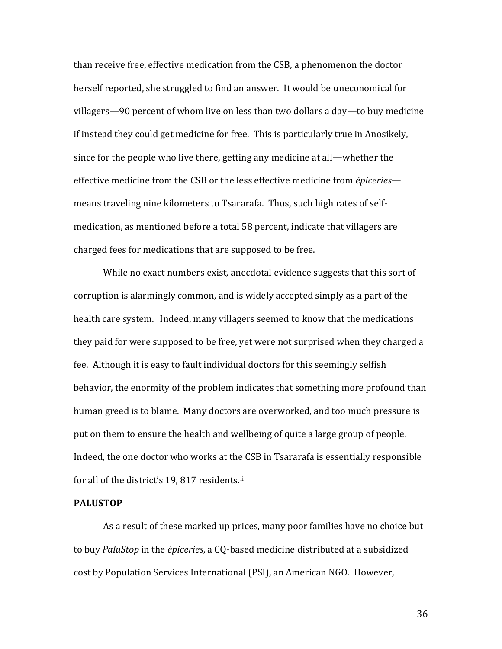than receive free, effective medication from the CSB, a phenomenon the doctor herself reported, she struggled to find an answer. It would be uneconomical for villagers—90 percent of whom live on less than two dollars a day—to buy medicine if instead they could get medicine for free. This is particularly true in Anosikely, since for the people who live there, getting any medicine at all—whether the effective medicine from the CSB or the less effective medicine from *épiceries* means traveling nine kilometers to Tsararafa. Thus, such high rates of self‐ medication, as mentioned before a total 58 percent, indicate that villagers are charged fees for medications that are supposed to be free.

 While no exact numbers exist, anecdotal evidence suggests that this sort of corruption is alarmingly common, and is widely accepted simply as a part of the health care system. Indeed, many villagers seemed to know that the medications they paid for were supposed to be free, yet were not surprised when they charged a fee. Although it is easy to fault individual doctors for this seemingly selfish behavior, the enormity of the problem indicates that something more profound than human greed is to blame. Many doctors are overworked, and too much pressure is put on them to ensure the health and wellbeing of quite a large group of people. Indeed, the one doctor who works at the CSB in Tsararafa is essentially responsible for all of the district's 19, 817 residents.<sup>[li](#page-45-1)</sup>

# **PALUSTOP**

 As a result of these marked up prices, many poor families have no choice but to buy *PaluStop* in the *épiceries*, a CQ‐based medicine distributed at a subsidized cost by Population Services International (PSI), an American NGO. However,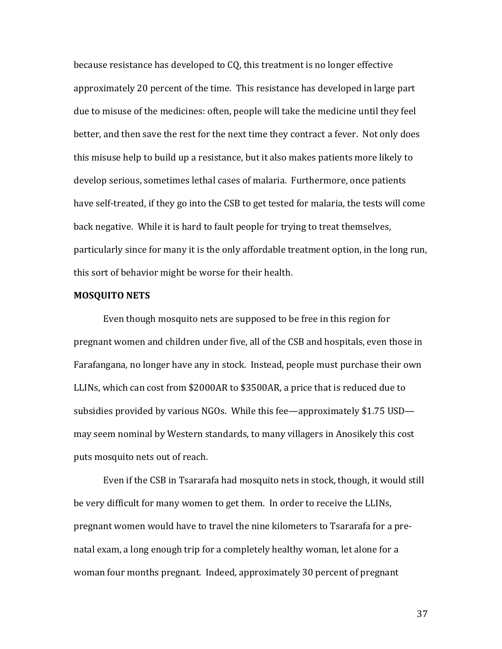because resistance has developed to CQ, this treatment is no longer effective approximately 20 percent of the time. This resistance has developed in large part due to misuse of the medicines: often, people will take the medicine until they feel better, and then save the rest for the next time they contract a fever. Not only does this misuse help to build up a resistance, but it also makes patients more likely to develop serious, sometimes lethal cases of malaria. Furthermore, once patients have self-treated, if they go into the CSB to get tested for malaria, the tests will come back negative. While it is hard to fault people for trying to treat themselves, particularly since for many it is the only affordable treatment option, in the long run, this sort of behavior might be worse for their health.

## **MOSQUITO NETS**

Even though mosquito nets are supposed to be free in this region for pregnant women and children under five, all of the CSB and hospitals, even those in Farafangana, no longer have any in stock. Instead, people must purchase their own LLINs, which can cost from \$2000AR to \$3500AR, a price that is reduced due to subsidies provided by various NGOs. While this fee—approximately \$1.75 USD may seem nominal by Western standards, to many villagers in Anosikely this cost puts mosquito nets out of reach.

Even if the CSB in Tsararafa had mosquito nets in stock, though, it would still be very difficult for many women to get them. In order to receive the LLINs, pregnant women would have to travel the nine kilometers to Tsararafa for a pre‐ natal exam, a long enough trip for a completely healthy woman, let alone for a woman four months pregnant. Indeed, approximately 30 percent of pregnant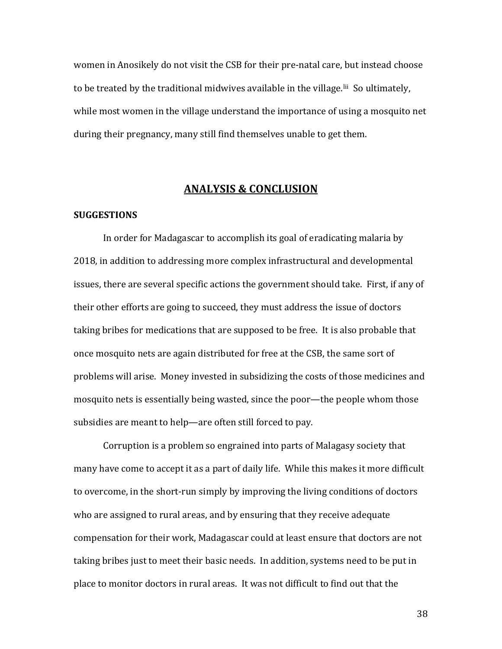women in Anosikely do not visit the CSB for their pre-natal care, but instead choose to be treated by the traditional midwives available in the village.<sup>Iii</sup> So ultimately, while most women in the village understand the importance of using a mosquito net during their pregnancy, many still find themselves unable to get them.

# **ANALYSIS & CONCLUSION**

### **SUGGESTIONS**

 In order for Madagascar to accomplish its goal of eradicating malaria by 2018, in addition to addressing more complex infrastructural and developmental issues, there are several specific actions the government should take. First, if any of their other efforts are going to succeed, they must address the issue of doctors taking bribes for medications that are supposed to be free. It is also probable that once mosquito nets are again distributed for free at the CSB, the same sort of problems will arise. Money invested in subsidizing the costs of those medicines and mosquito nets is essentially being wasted, since the poor—the people whom those subsidies are meant to help—are often still forced to pay.

Corruption is a problem so engrained into parts of Malagasy society that many have come to accept it as a part of daily life. While this makes it more difficult to overcome, in the short‐run simply by improving the living conditions of doctors who are assigned to rural areas, and by ensuring that they receive adequate compensation for their work, Madagascar could at least ensure that doctors are not taking bribes just to meet their basic needs. In addition, systems need to be put in place to monitor doctors in rural areas. It was not difficult to find out that the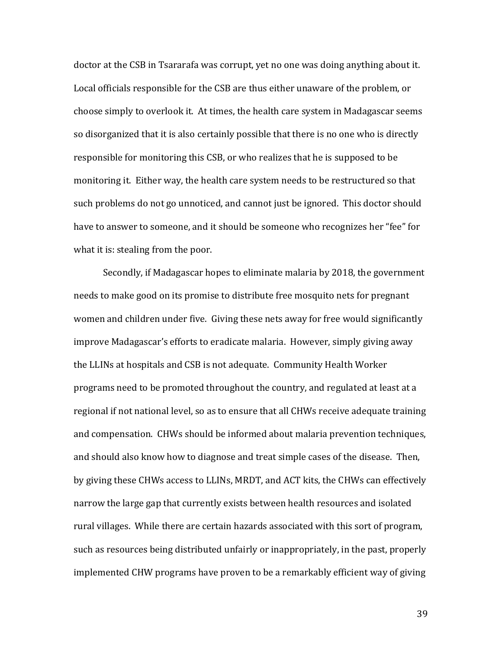doctor at the CSB in Tsararafa was corrupt, yet no one was doing anything about it. Local officials responsible for the CSB are thus either unaware of the problem, or choose simply to overlook it. At times, the health care system in Madagascar seems so disorganized that it is also certainly possible that there is no one who is directly responsible for monitoring this CSB, or who realizes that he is supposed to be monitoring it. Either way, the health care system needs to be restructured so that such problems do not go unnoticed, and cannot just be ignored. This doctor should have to answer to someone, and it should be someone who recognizes her "fee" for what it is: stealing from the poor.

 Secondly, if Madagascar hopes to eliminate malaria by 2018, the government needs to make good on its promise to distribute free mosquito nets for pregnant women and children under five. Giving these nets away for free would significantly improve Madagascar's efforts to eradicate malaria. However, simply giving away the LLINs at hospitals and CSB is not adequate. Community Health Worker programs need to be promoted throughout the country, and regulated at least at a regional if not national level, so as to ensure that all CHWs receive adequate training and compensation. CHWs should be informed about malaria prevention techniques, and should also know how to diagnose and treat simple cases of the disease. Then, by giving these CHWs access to LLINs, MRDT, and ACT kits, the CHWs can effectively narrow the large gap that currently exists between health resources and isolated rural villages. While there are certain hazards associated with this sort of program, such as resources being distributed unfairly or inappropriately, in the past, properly implemented CHW programs have proven to be a remarkably efficient way of giving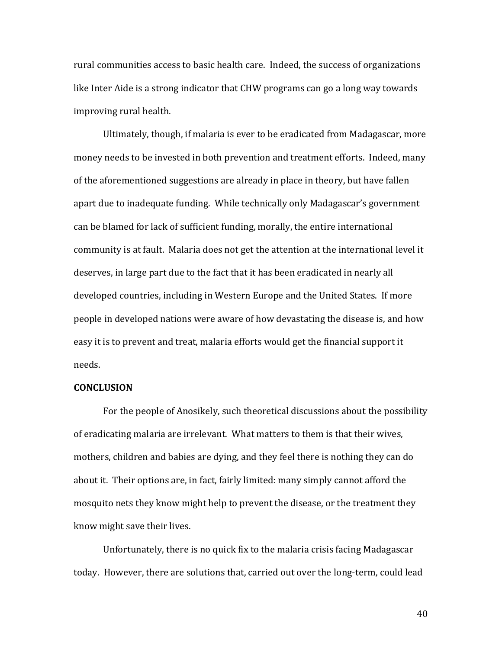rural communities access to basic health care. Indeed, the success of organizations like Inter Aide is a strong indicator that CHW programs can go a long way towards improving rural health.

Ultimately, though, if malaria is ever to be eradicated from Madagascar, more money needs to be invested in both prevention and treatment efforts. Indeed, many of the aforementioned suggestions are already in place in theory, but have fallen apart due to inadequate funding. While technically only Madagascar's government can be blamed for lack of sufficient funding, morally, the entire international community is at fault. Malaria does not get the attention at the international level it deserves, in large part due to the fact that it has been eradicated in nearly all developed countries, including in Western Europe and the United States. If more people in developed nations were aware of how devastating the disease is, and how easy it is to prevent and treat, malaria efforts would get the financial support it needs.

### **CONCLUSION**

For the people of Anosikely, such theoretical discussions about the possibility of eradicating malaria are irrelevant. What matters to them is that their wives, mothers, children and babies are dying, and they feel there is nothing they can do about it. Their options are, in fact, fairly limited: many simply cannot afford the mosquito nets they know might help to prevent the disease, or the treatment they know might save their lives.

Unfortunately, there is no quick fix to the malaria crisis facing Madagascar today. However, there are solutions that, carried out over the long‐term, could lead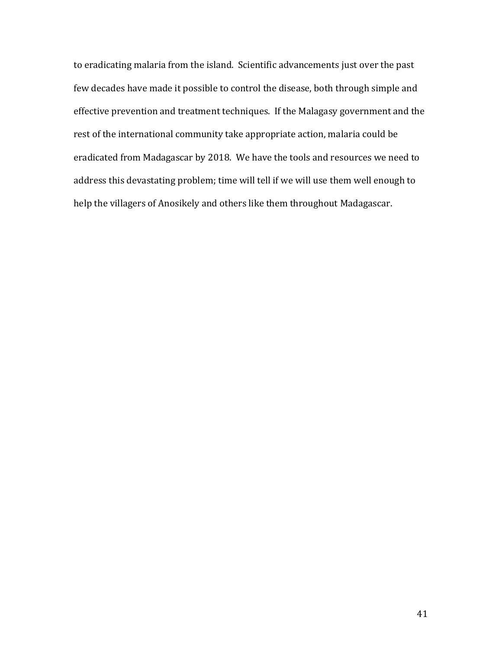to eradicating malaria from the island. Scientific advancements just over the past few decades have made it possible to control the disease, both through simple and effective prevention and treatment techniques. If the Malagasy government and the rest of the international community take appropriate action, malaria could be eradicated from Madagascar by 2018. We have the tools and resources we need to address this devastating problem; time will tell if we will use them well enough to help the villagers of Anosikely and others like them throughout Madagascar.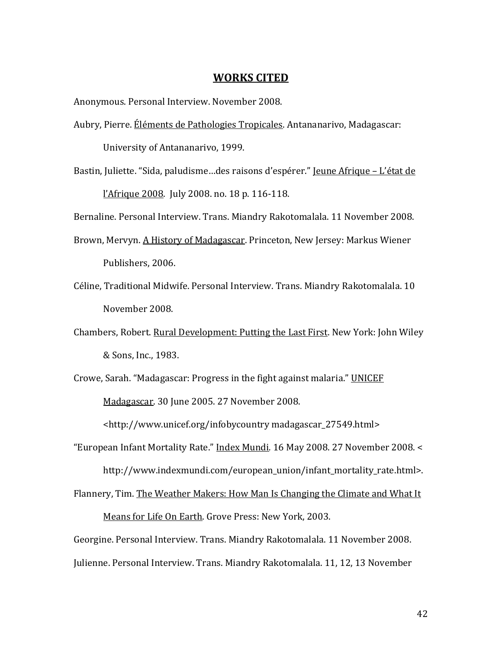# **WORKS CITED**

Anonymous. Personal Interview. November 2008.

Aubry, Pierre. *Éléments de Pathologies Tropicales*. Antananarivo, Madagascar:

University of Antananarivo, 1999.

Bastin, Juliette. "Sida, paludisme...des raisons d'espérer." Jeune Afrique - L'état de l'Afrique 2008. July 2008. no. 18 p. 116‐118.

Bernaline. Personal Interview. Trans. Miandry Rakotomalala. 11 November 2008.

- Brown, Mervyn. A History of Madagascar. Princeton, New Jersey: Markus Wiener Publishers, 2006.
- Céline, Traditional Midwife. Personal Interview. Trans. Miandry Rakotomalala. 10 November 2008.
- Chambers, Robert. Rural Development: Putting the Last First. New York: John Wiley & Sons, Inc., 1983.
- Crowe, Sarah. "Madagascar: Progress in the fight against malaria." UNICEF Madagascar. 30 June 2005. 27 November 2008.

<http://www.unicef.org/infobycountry madagascar\_27549.html>

"European Infant Mortality Rate." Index Mundi*.* 16 May 2008. 27 November 2008. <

http://www.indexmundi.com/european\_union/infant\_mortality\_rate.html>.

Flannery, Tim. The Weather Makers: How Man Is Changing the Climate and What It

Means for Life On Earth. Grove Press: New York, 2003.

Georgine. Personal Interview. Trans. Miandry Rakotomalala. 11 November 2008. Julienne. Personal Interview. Trans. Miandry Rakotomalala. 11, 12, 13 November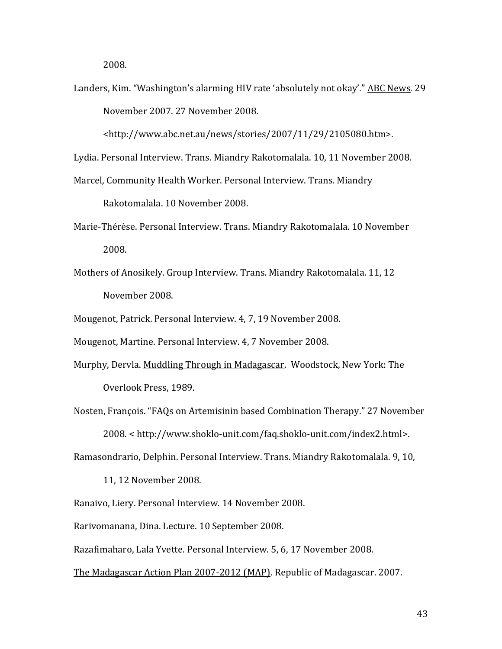Landers, Kim. "Washington's alarming HIV rate 'absolutely not okay'." ABC News. 29 November 2007. 27 November 2008.

<http://www.abc.net.au/news/stories/2007/11/29/2105080.htm>.

Lydia. Personal Interview. Trans. Miandry Rakotomalala. 10, 11 November 2008.

Marcel, Community Health Worker. Personal Interview. Trans. Miandry Rakotomalala. 10 November 2008.

- Marie-Thérèse. Personal Interview. Trans. Miandry Rakotomalala. 10 November 2008.
- Mothers of Anosikely. Group Interview. Trans. Miandry Rakotomalala. 11, 12 November 2008.

Mougenot, Patrick. Personal Interview. 4, 7, 19 November 2008.

Mougenot, Martine. Personal Interview. 4, 7 November 2008.

Murphy, Dervla. Muddling Through in Madagascar. Woodstock, New York: The Overlook Press, 1989.

Nosten, François. "FAQs on Artemisinin based Combination Therapy." 27 November 2008. < http://www.shoklo‐unit.com/faq.shoklo‐unit.com/index2.html>.

Ramasondrario, Delphin. Personal Interview. Trans. Miandry Rakotomalala. 9, 10,

11, 12 November 2008.

Ranaivo, Liery. Personal Interview. 14 November 2008.

Rarivomanana, Dina. Lecture. 10 September 2008.

Razafimaharo, Lala Yvette. Personal Interview. 5, 6, 17 November 2008.

The Madagascar Action Plan 2007‐2012 (MAP). Republic of Madagascar. 2007.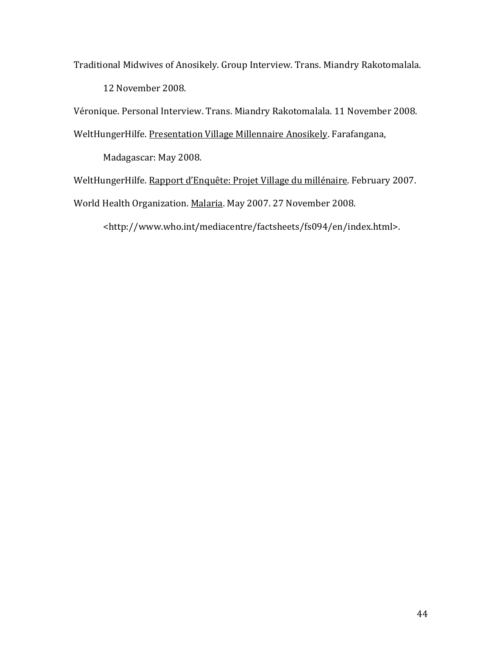Traditional Midwives of Anosikely. Group Interview. Trans. Miandry Rakotomalala.

12 November 2008.

Véronique. Personal Interview. Trans. Miandry Rakotomalala. 11 November 2008.

WeltHungerHilfe. Presentation Village Millennaire Anosikely. Farafangana,

Madagascar: May 2008.

WeltHungerHilfe. Rapport d'Enquête: Projet Village du millénaire. February 2007.

World Health Organization. Malaria. May 2007. 27 November 2008.

<http://www.who.int/mediacentre/factsheets/fs094/en/index.html>.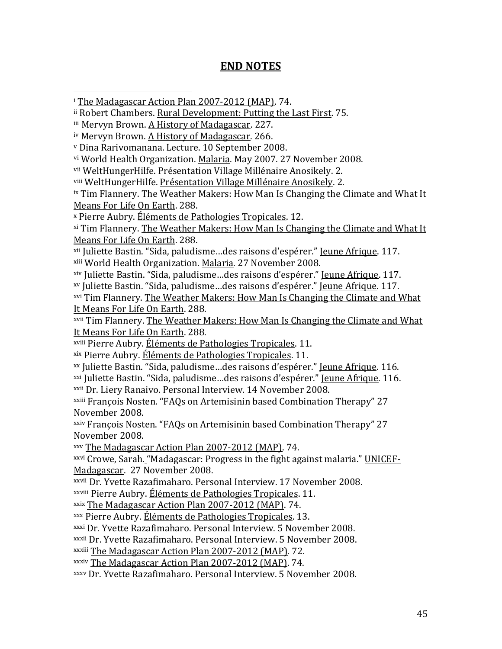# **END NOTES**

<sup>&</sup>lt;sup>i</sup> The Madagascar Action Plan 2007-2012 (MAP). 74. ii Robert Chambers. Rural Development: Putting the Last First. 75. iii Mervyn Brown. <u>A History of Madagascar</u>. 227. iv Mervyn Brown. A History of Madagascar. 266. v Dina Rarivomanana. Lecture. 10 September 2008. vi World Health Organization. Malaria. May 2007. 27 November 2008. <sup>vii</sup> WeltHungerHilfe. <u>Présentation Village Millénaire Anosikely</u>. 2. viii WeltHungerHilfe. Présentation Village Millénaire Anosikely. 2.  $i<sub>x</sub>$  Tim Flannery. The Weather Makers: How Man Is Changing the Climate and What It Means For Life On Earth. 288. <sup>x</sup> Pierre Aubry. Éléments de Pathologies Tropicales. 12.  $x$ <sup>i</sup> Tim Flannery. The Weather Makers: How Man Is Changing the Climate and What It Means For Life On Earth. 288. <sup>xii</sup> Juliette Bastin. "Sida, paludisme...des raisons d'espérer." <u>Jeune Afrique</u>. 117. xiii World Health Organization. Malaria. 27 November 2008. xiv Juliette Bastin. "Sida, paludisme…des raisons d'espérer." Jeune Afrique. 117. xv Juliette Bastin. "Sida, paludisme…des raisons d'espérer." Jeune Afrique. 117. xvi Tim Flannery. The Weather Makers: How Man Is Changing the Climate and What It Means For Life On Earth. 288. xvii Tim Flannery. The Weather Makers: How Man Is Changing the Climate and What It Means For Life On Earth. 288. xviii Pierre Aubry. Éléments de Pathologies Tropicales. 11. xix Pierre Aubry. Éléments de Pathologies Tropicales. 11. xx Juliette Bastin. "Sida, paludisme…des raisons d'espérer." Jeune Afrique. 116. xxi Juliette Bastin. "Sida, paludisme…des raisons d'espérer." Jeune Afrique. 116. xxii Dr. Liery Ranaivo. Personal Interview. 14 November 2008. xxiii François Nosten. "FAQs on Artemisinin based Combination Therapy" 27 November 2008. xxiv François Nosten. "FAQs on Artemisinin based Combination Therapy" 27 November 2008. xxv The Madagascar Action Plan 2007‐2012 (MAP). 74. xxvi Crowe, Sarah. "Madagascar: Progress in the fight against malaria." UNICEF‐ Madagascar. 27 November 2008. xxvii Dr. Yvette Razafimaharo. Personal Interview. 17 November 2008. xxviii Pierre Aubry. Éléments de Pathologies Tropicales. 11. xxix The Madagascar Action Plan 2007‐2012 (MAP). 74. xxx Pierre Aubry. Éléments de Pathologies Tropicales. 13. <sup>xxxi</sup> Dr. Yvette Razafimaharo. Personal Interview. 5 November 2008. <sup>xxxii</sup> Dr. Yvette Razafimaharo. Personal Interview. 5 November 2008. xxxiii The Madagascar Action Plan 2007‐2012 (MAP). 72. xxxiv The Madagascar Action Plan 2007-2012 (MAP). 74. xxxv Dr. Yvette Razafimaharo. Personal Interview. 5 November 2008.